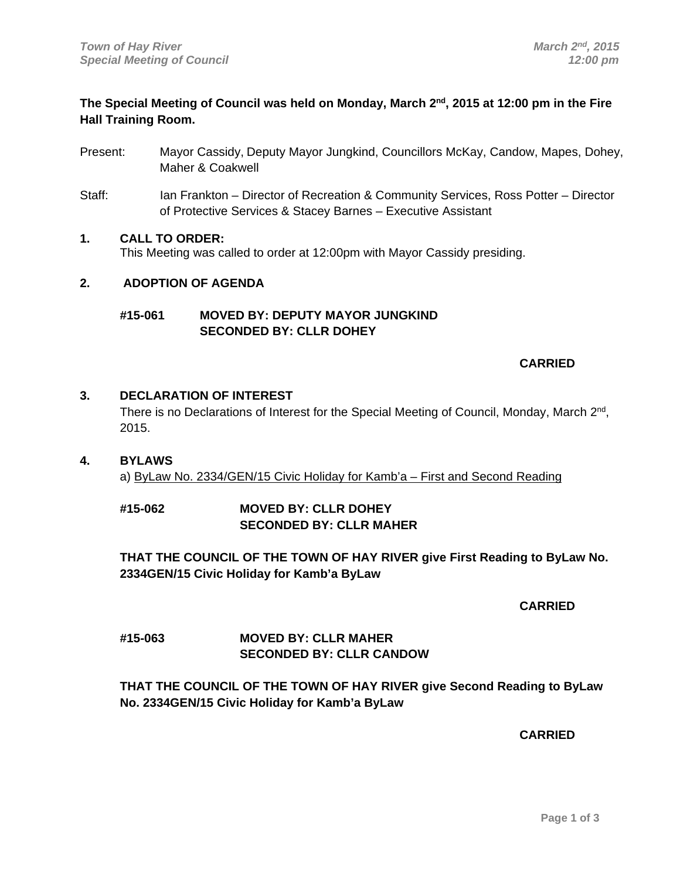# **The Special Meeting of Council was held on Monday, March 2nd, 2015 at 12:00 pm in the Fire Hall Training Room.**

- Present: Mayor Cassidy, Deputy Mayor Jungkind, Councillors McKay, Candow, Mapes, Dohey, Maher & Coakwell
- Staff: Ian Frankton Director of Recreation & Community Services, Ross Potter Director of Protective Services & Stacey Barnes – Executive Assistant

## **1. CALL TO ORDER:**

This Meeting was called to order at 12:00pm with Mayor Cassidy presiding.

## **2. ADOPTION OF AGENDA**

## **#15-061 MOVED BY: DEPUTY MAYOR JUNGKIND SECONDED BY: CLLR DOHEY**

## **CARRIED CARRIED**

## **3. DECLARATION OF INTEREST**

There is no Declarations of Interest for the Special Meeting of Council, Monday, March  $2<sup>nd</sup>$ , 2015.

# **4. BYLAWS**

a) ByLaw No. 2334/GEN/15 Civic Holiday for Kamb'a – First and Second Reading

## **#15-062 MOVED BY: CLLR DOHEY SECONDED BY: CLLR MAHER**

**THAT THE COUNCIL OF THE TOWN OF HAY RIVER give First Reading to ByLaw No. 2334GEN/15 Civic Holiday for Kamb'a ByLaw** 

 **CARRIED** 

# **#15-063 MOVED BY: CLLR MAHER SECONDED BY: CLLR CANDOW**

# **THAT THE COUNCIL OF THE TOWN OF HAY RIVER give Second Reading to ByLaw No. 2334GEN/15 Civic Holiday for Kamb'a ByLaw**

 **CARRIED**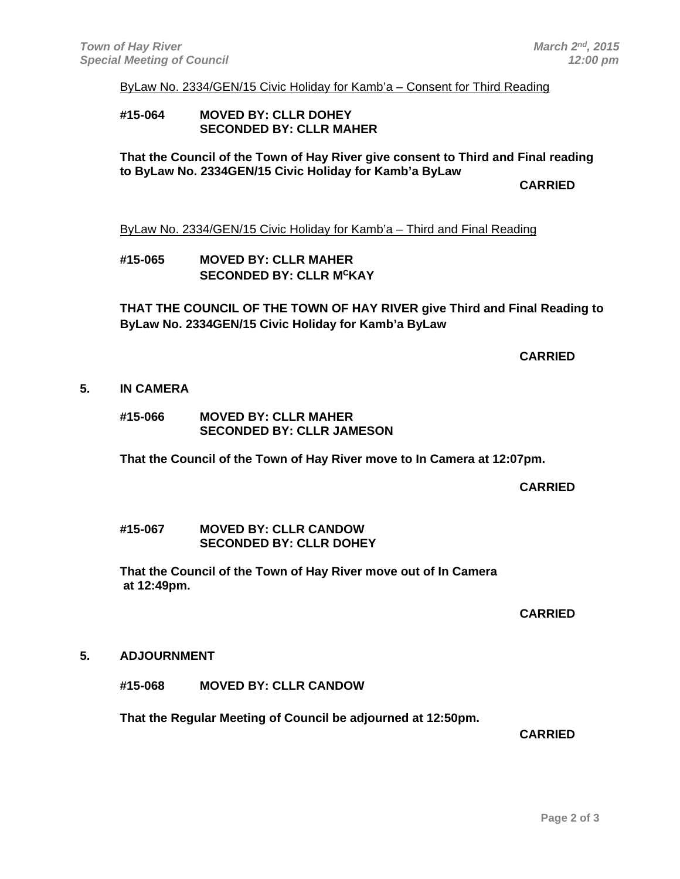#### ByLaw No. 2334/GEN/15 Civic Holiday for Kamb'a – Consent for Third Reading

#### **#15-064 MOVED BY: CLLR DOHEY SECONDED BY: CLLR MAHER**

**That the Council of the Town of Hay River give consent to Third and Final reading to ByLaw No. 2334GEN/15 Civic Holiday for Kamb'a ByLaw** 

**CARRIED CARRIED** 

ByLaw No. 2334/GEN/15 Civic Holiday for Kamb'a – Third and Final Reading

**#15-065 MOVED BY: CLLR MAHER SECONDED BY: CLLR MCKAY** 

**THAT THE COUNCIL OF THE TOWN OF HAY RIVER give Third and Final Reading to ByLaw No. 2334GEN/15 Civic Holiday for Kamb'a ByLaw** 

 **CARRIED** 

#### **5. IN CAMERA**

**#15-066 MOVED BY: CLLR MAHER SECONDED BY: CLLR JAMESON** 

**That the Council of the Town of Hay River move to In Camera at 12:07pm.** 

**CARRIED CARRIED** 

**#15-067 MOVED BY: CLLR CANDOW SECONDED BY: CLLR DOHEY** 

**That the Council of the Town of Hay River move out of In Camera at 12:49pm.** 

**CARRIED CARRIED** 

**5. ADJOURNMENT** 

**#15-068 MOVED BY: CLLR CANDOW** 

 **That the Regular Meeting of Council be adjourned at 12:50pm.** 

 **CARRIED**